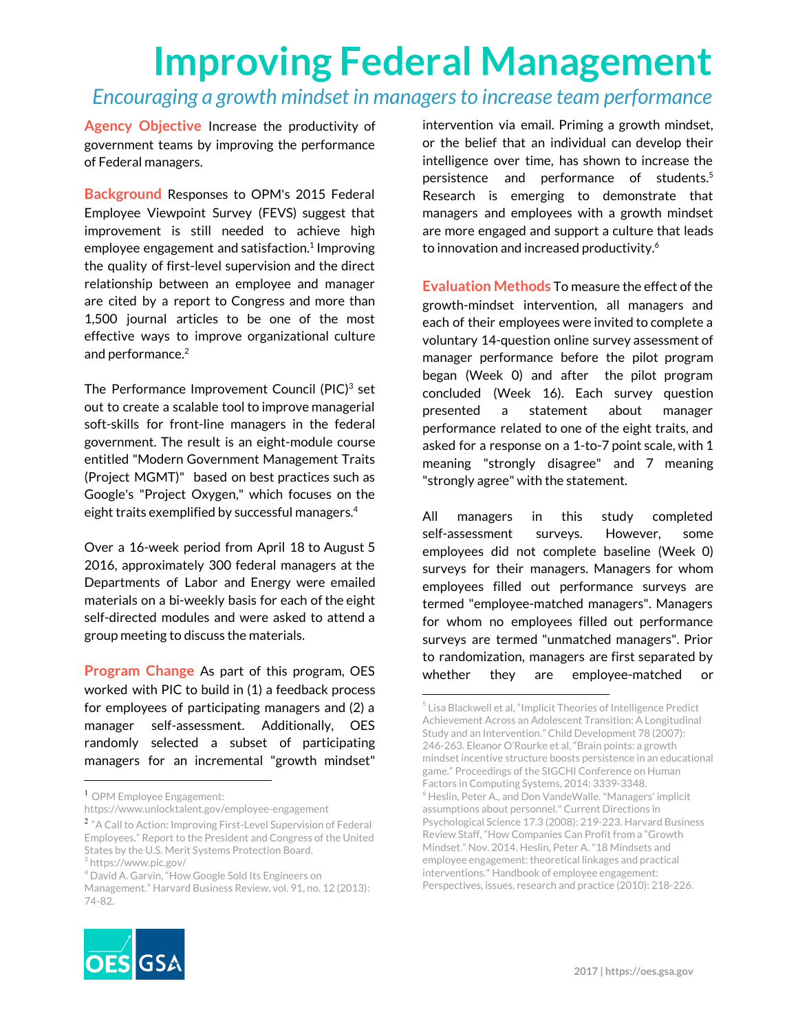# **Improving Federal Management**

#### *Encouraging a growth mindset in managersto increase team performance*

**Agency Objective** Increase the productivity of government teams by improving the performance of Federal managers.

**Background** Responses to OPM's 2015 Federal Employee Viewpoint Survey (FEVS) suggest that improvement is still needed to achieve high employee engagement and satisfaction.<sup>1</sup> Improving the quality of first-level supervision and the direct relationship between an employee and manager are cited by a report to Congress and more than 1,500 journal articles to be one of the most effective ways to improve organizational culture and performance. 2

The Performance Improvement Council (PIC) $3$  set out to create a scalable tool to improve managerial soft-skills for front-line managers in the federal government. The result is an eight-module course entitled "Modern Government Management Traits (Project MGMT)" based on best practices such as Google's "Project Oxygen," which focuses on the eight traits exemplified by successful managers. 4

Over a 16-week period from April 18 to August 5 2016, approximately 300 federal managers at the Departments of Labor and Energy were emailed materials on a bi-weekly basis for each of the eight self-directed modules and were asked to attend a group meeting to discuss the materials.

**Program Change** As part of this program, OES worked with PIC to build in (1) a feedback process for employees of participating managers and (2) a manager self-assessment. Additionally, OES randomly selected a subset of participating managers for an incremental "growth mindset"



**Evaluation Methods** To measure the effect of the growth-mindset intervention, all managers and each of their employees were invited to complete a voluntary 14-question online survey assessment of manager performance before the pilot program began (Week 0) and after the pilot program concluded (Week 16). Each survey question presented a statement about manager performance related to one of the eight traits, and asked for a response on a 1-to-7 point scale, with 1 meaning "strongly disagree" and 7 meaning "strongly agree" with the statement.

All managers in this study completed self-assessment surveys. However, some employees did not complete baseline (Week 0) surveys for their managers. Managers for whom employees filled out performance surveys are termed "employee-matched managers". Managers for whom no employees filled out performance surveys are termed "unmatched managers". Prior to randomization, managers are first separated by whether they are employee-matched or



<sup>&</sup>lt;sup>1</sup> OPM Employee Engagement:

https://www.unlocktalent.gov/employee-engagement

<sup>&</sup>lt;sup>2</sup> "A Call to Action: Improving First-Level Supervision of Federal Employees." Report to the President and Congress of the United States by the U.S. Merit Systems Protection Board.

<sup>3</sup> https://www.pic.gov/

<sup>&</sup>lt;sup>4</sup> David A. Garvin, "How Google Sold Its Engineers on

Management." Harvard Business Review, vol. 91, no. 12 (2013): 74-82.

<sup>5</sup> Lisa Blackwell et al, "Implicit Theories of Intelligence Predict Achievement Across an Adolescent Transition: A Longitudinal Study and an Intervention." Child Development 78 (2007): 246-263. Eleanor O'Rourke et al, "Brain points: a growth mindset incentive structure boosts persistence in an educational game." Proceedings of the SIGCHI Conference on Human Factors in Computing Systems, 2014: 3339-3348. <sup>6</sup> Heslin, Peter A., and Don VandeWalle."Managers' implicit assumptions about personnel." Current Directions in Psychological Science 17.3 (2008): 219-223. Harvard Business Review Staff, "How Companies Can Profit from a "Growth Mindset." Nov. 2014. Heslin, Peter A."18 Mindsets and employee engagement: theoretical linkages and practical interventions." Handbook of employee engagement: Perspectives, issues, research and practice (2010): 218-226.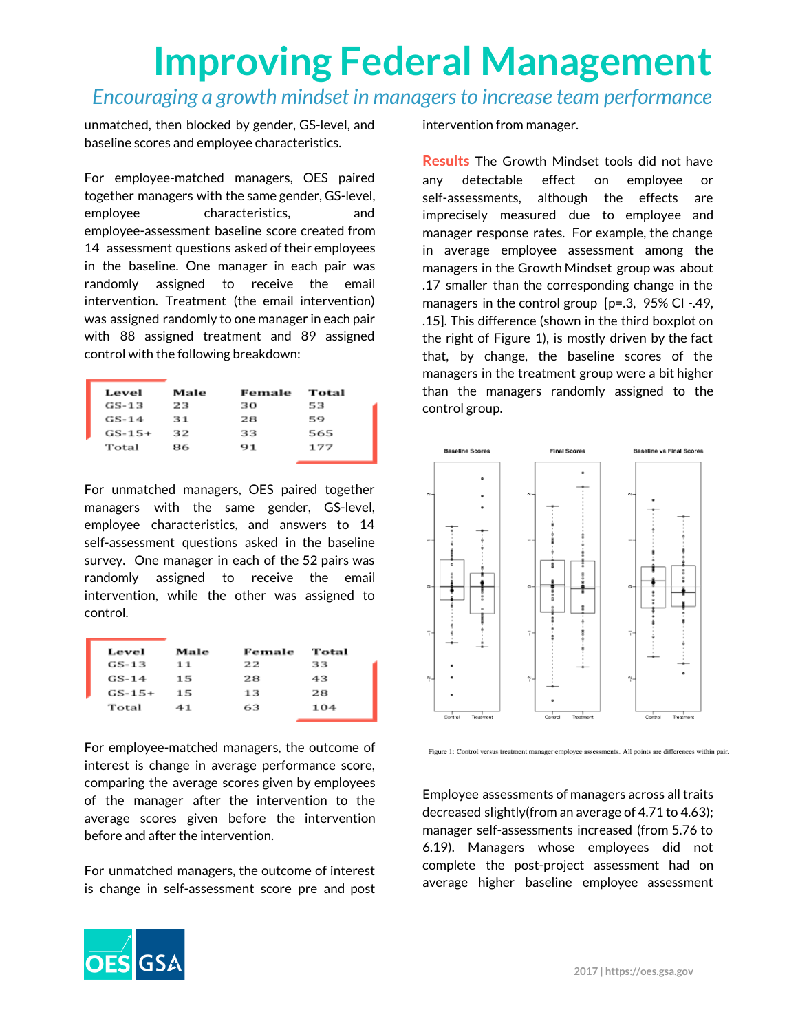# **Improving Federal Management**

#### *Encouraging a growth mindset in managersto increase team performance*

unmatched, then blocked by gender, GS-level, and baseline scores and employee characteristics.

For employee-matched managers, OES paired together managers with the same gender, GS-level, employee characteristics, and employee-assessment baseline score created from 14 assessment questions asked of their employees in the baseline. One manager in each pair was randomly assigned to receive the email intervention. Treatment (the email intervention) was assigned randomly to one manager in each pair with 88 assigned treatment and 89 assigned control with the following breakdown:

| Level    | Male | Female | Total |
|----------|------|--------|-------|
| GS-13    | 23   | зо     | 53    |
| $GS-14$  | 31   | 28     | 59    |
| $GS-15+$ | 32   | 33     | 565   |
| Total    | 86   | 91     | 177   |

For unmatched managers, OES paired together managers with the same gender, GS-level, employee characteristics, and answers to 14 self-assessment questions asked in the baseline survey. One manager in each of the 52 pairs was randomly assigned to receive the email intervention, while the other was assigned to control.

| Level    | Male | Female | Total |
|----------|------|--------|-------|
| GS-13    | 11   | 22     | 33    |
| $GS-14$  | 15   | 28     | 43    |
| $GS-15+$ | 15   | 13     | 28    |
| Total    | 41   | 63     | 104   |

For employee-matched managers, the outcome of interest is change in average performance score, comparing the average scores given by employees of the manager after the intervention to the average scores given before the intervention before and after the intervention.

For unmatched managers, the outcome of interest is change in self-assessment score pre and post



**Results** The Growth Mindset tools did not have any detectable effect on employee or self-assessments, although the effects are imprecisely measured due to employee and manager response rates. For example, the change in average employee assessment among the managers in the Growth Mindset group was about .17 smaller than the corresponding change in the managers in the control group [p=.3, 95% CI -.49, .15]. This difference (shown in the third boxplot on the right of Figure 1), is mostly driven by the fact that, by change, the baseline scores of the managers in the treatment group were a bit higher than the managers randomly assigned to the control group.



Figure 1: Control versus treatment manager employee assessments. All points are differences within pair.

Employee assessments of managers across all traits decreased slightly(from an average of 4.71 to 4.63); manager self-assessments increased (from 5.76 to 6.19). Managers whose employees did not complete the post-project assessment had on average higher baseline employee assessment